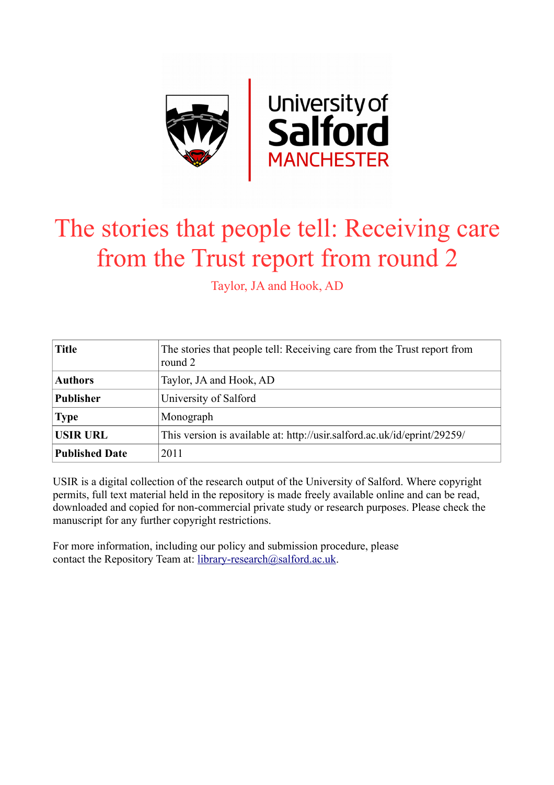

# The stories that people tell: Receiving care from the Trust report from round 2

Taylor, JA and Hook, AD

| <b>Title</b>          | The stories that people tell: Receiving care from the Trust report from<br>round 2 |
|-----------------------|------------------------------------------------------------------------------------|
| <b>Authors</b>        | Taylor, JA and Hook, AD                                                            |
| <b>Publisher</b>      | University of Salford                                                              |
| <b>Type</b>           | Monograph                                                                          |
| <b>USIR URL</b>       | This version is available at: http://usir.salford.ac.uk/id/eprint/29259/           |
| <b>Published Date</b> | 2011                                                                               |

USIR is a digital collection of the research output of the University of Salford. Where copyright permits, full text material held in the repository is made freely available online and can be read, downloaded and copied for non-commercial private study or research purposes. Please check the manuscript for any further copyright restrictions.

For more information, including our policy and submission procedure, please contact the Repository Team at: [library-research@salford.ac.uk.](mailto:library-research@salford.ac.uk)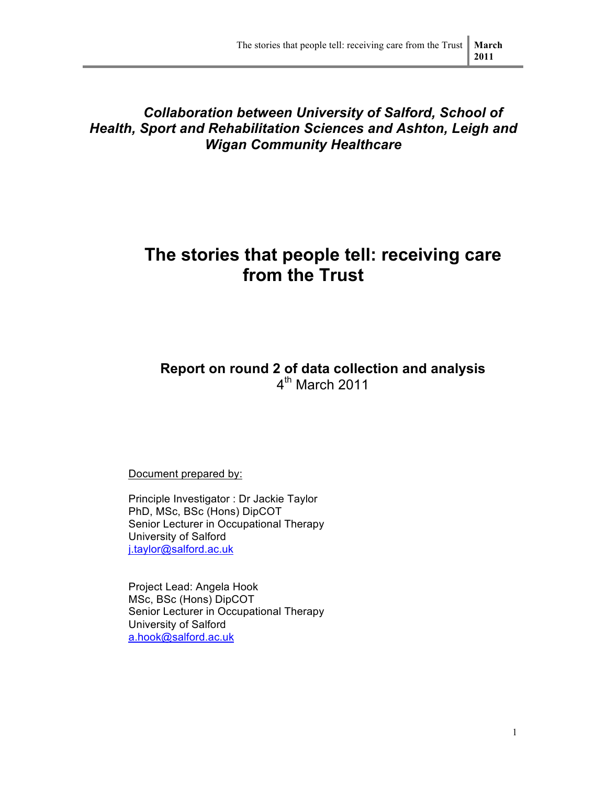### *Collaboration between University of Salford, School of Health, Sport and Rehabilitation Sciences and Ashton, Leigh and Wigan Community Healthcare*

## **The stories that people tell: receiving care from the Trust**

### **Report on round 2 of data collection and analysis**  $4<sup>th</sup>$  March 2011

Document prepared by:

Principle Investigator : Dr Jackie Taylor PhD, MSc, BSc (Hons) DipCOT Senior Lecturer in Occupational Therapy University of Salford j.taylor@salford.ac.uk

Project Lead: Angela Hook MSc, BSc (Hons) DipCOT Senior Lecturer in Occupational Therapy University of Salford a.hook@salford.ac.uk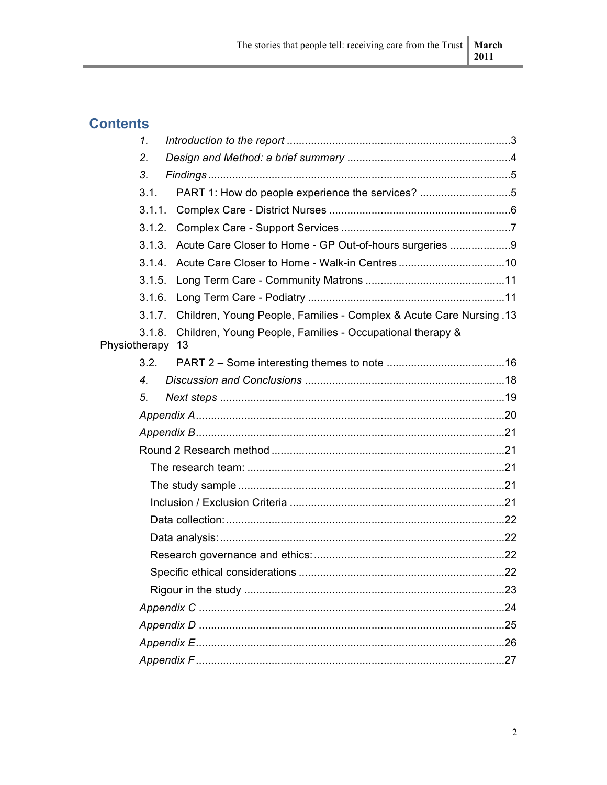## **Contents**

|               | 1 <sub>1</sub> |                                                                     |  |
|---------------|----------------|---------------------------------------------------------------------|--|
|               | 2.             |                                                                     |  |
|               | 3.             |                                                                     |  |
|               | 3.1.           | PART 1: How do people experience the services? 5                    |  |
|               | 3.1.1.         |                                                                     |  |
|               | 3.1.2.         |                                                                     |  |
|               | 3.1.3.         | Acute Care Closer to Home - GP Out-of-hours surgeries 9             |  |
|               |                | 3.1.4. Acute Care Closer to Home - Walk-in Centres10                |  |
|               | 3.1.5.         |                                                                     |  |
|               | 3.1.6.         |                                                                     |  |
|               | 3.1.7.         | Children, Young People, Families - Complex & Acute Care Nursing .13 |  |
| Physiotherapy | 3.1.8.         | Children, Young People, Families - Occupational therapy &<br>13     |  |
|               | 3.2.           |                                                                     |  |
|               | 4.             |                                                                     |  |
|               | 5.             |                                                                     |  |
|               |                |                                                                     |  |
|               |                |                                                                     |  |
|               |                |                                                                     |  |
|               |                |                                                                     |  |
|               |                |                                                                     |  |
|               |                |                                                                     |  |
|               |                |                                                                     |  |
|               |                |                                                                     |  |
|               |                |                                                                     |  |
|               |                |                                                                     |  |
|               |                |                                                                     |  |
|               |                |                                                                     |  |
|               |                |                                                                     |  |
|               |                |                                                                     |  |
|               |                |                                                                     |  |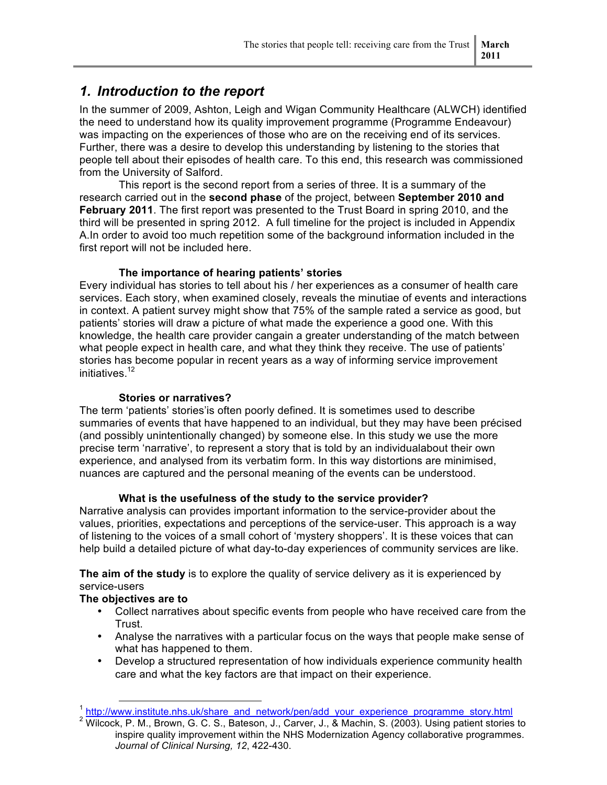### *1. Introduction to the report*

In the summer of 2009, Ashton, Leigh and Wigan Community Healthcare (ALWCH) identified the need to understand how its quality improvement programme (Programme Endeavour) was impacting on the experiences of those who are on the receiving end of its services. Further, there was a desire to develop this understanding by listening to the stories that people tell about their episodes of health care. To this end, this research was commissioned from the University of Salford.

This report is the second report from a series of three. It is a summary of the research carried out in the **second phase** of the project, between **September 2010 and February 2011**. The first report was presented to the Trust Board in spring 2010, and the third will be presented in spring 2012. A full timeline for the project is included in Appendix A.In order to avoid too much repetition some of the background information included in the first report will not be included here.

#### **The importance of hearing patients' stories**

Every individual has stories to tell about his / her experiences as a consumer of health care services. Each story, when examined closely, reveals the minutiae of events and interactions in context. A patient survey might show that 75% of the sample rated a service as good, but patients' stories will draw a picture of what made the experience a good one. With this knowledge, the health care provider cangain a greater understanding of the match between what people expect in health care, and what they think they receive. The use of patients' stories has become popular in recent years as a way of informing service improvement initiatives.<sup>12</sup>

#### **Stories or narratives?**

The term 'patients' stories'is often poorly defined. It is sometimes used to describe summaries of events that have happened to an individual, but they may have been précised (and possibly unintentionally changed) by someone else. In this study we use the more precise term 'narrative', to represent a story that is told by an individualabout their own experience, and analysed from its verbatim form. In this way distortions are minimised, nuances are captured and the personal meaning of the events can be understood.

#### **What is the usefulness of the study to the service provider?**

Narrative analysis can provides important information to the service-provider about the values, priorities, expectations and perceptions of the service-user. This approach is a way of listening to the voices of a small cohort of 'mystery shoppers'. It is these voices that can help build a detailed picture of what day-to-day experiences of community services are like.

**The aim of the study** is to explore the quality of service delivery as it is experienced by service-users

#### **The objectives are to**

- Collect narratives about specific events from people who have received care from the Trust.
- Analyse the narratives with a particular focus on the ways that people make sense of what has happened to them.
- Develop a structured representation of how individuals experience community health care and what the key factors are that impact on their experience.

<sup>&</sup>lt;sup>1</sup> http://www.institute.nhs.uk/share\_and\_network/pen/add\_your\_experience\_programme\_story.html

<sup>&</sup>lt;sup>2</sup> Wilcock, P. M., Brown, G. C. S., Bateson, J., Carver, J., & Machin, S. (2003). Using patient stories to inspire quality improvement within the NHS Modernization Agency collaborative programmes. *Journal of Clinical Nursing, 12*, 422-430.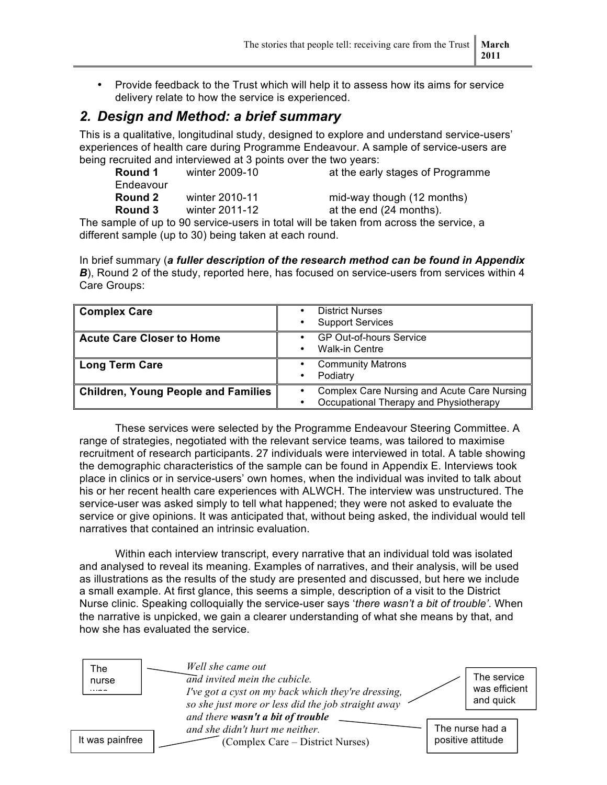• Provide feedback to the Trust which will help it to assess how its aims for service delivery relate to how the service is experienced.

### *2. Design and Method: a brief summary*

This is a qualitative, longitudinal study, designed to explore and understand service-users' experiences of health care during Programme Endeavour. A sample of service-users are being recruited and interviewed at 3 points over the two years:

| Round 1        | winter 2009-10 | at the early stages of Programme |
|----------------|----------------|----------------------------------|
| Endeavour      |                |                                  |
| <b>Round 2</b> | winter 2010-11 | mid-way though (12 months)       |
| Round 3        | winter 2011-12 | at the end (24 months).          |
|                |                |                                  |

The sample of up to 90 service-users in total will be taken from across the service, a different sample (up to 30) being taken at each round.

In brief summary (*a fuller description of the research method can be found in Appendix*  **B**), Round 2 of the study, reported here, has focused on service-users from services within 4 Care Groups:

| <b>Complex Care</b>                        | <b>District Nurses</b><br><b>Support Services</b><br>٠                                |
|--------------------------------------------|---------------------------------------------------------------------------------------|
| <b>Acute Care Closer to Home</b>           | <b>GP Out-of-hours Service</b><br><b>Walk-in Centre</b>                               |
| <b>Long Term Care</b>                      | <b>Community Matrons</b><br>Podiatry                                                  |
| <b>Children, Young People and Families</b> | Complex Care Nursing and Acute Care Nursing<br>Occupational Therapy and Physiotherapy |

These services were selected by the Programme Endeavour Steering Committee. A range of strategies, negotiated with the relevant service teams, was tailored to maximise recruitment of research participants. 27 individuals were interviewed in total. A table showing the demographic characteristics of the sample can be found in Appendix E. Interviews took place in clinics or in service-users' own homes, when the individual was invited to talk about his or her recent health care experiences with ALWCH. The interview was unstructured. The service-user was asked simply to tell what happened; they were not asked to evaluate the service or give opinions. It was anticipated that, without being asked, the individual would tell narratives that contained an intrinsic evaluation.

Within each interview transcript, every narrative that an individual told was isolated and analysed to reveal its meaning. Examples of narratives, and their analysis, will be used as illustrations as the results of the study are presented and discussed, but here we include a small example. At first glance, this seems a simple, description of a visit to the District Nurse clinic. Speaking colloquially the service-user says '*there wasn't a bit of trouble'*. When the narrative is unpicked, we gain a clearer understanding of what she means by that, and how she has evaluated the service.

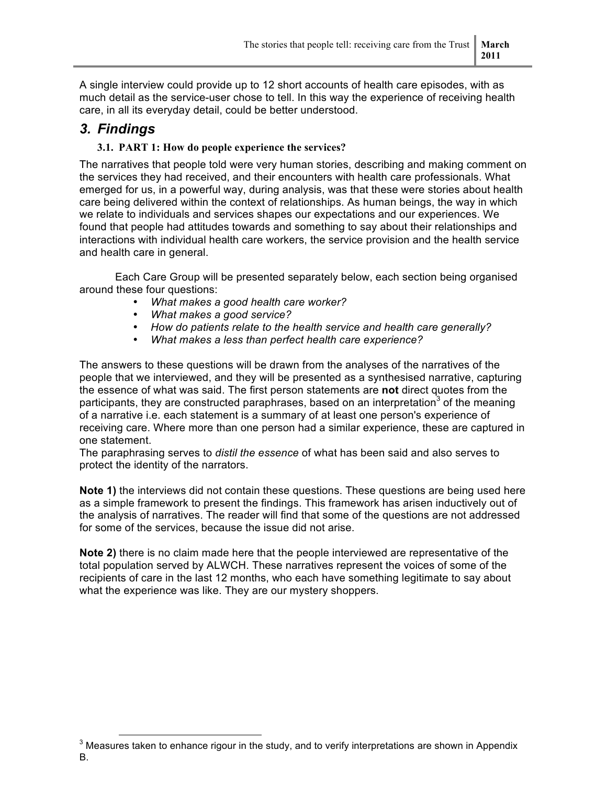A single interview could provide up to 12 short accounts of health care episodes, with as much detail as the service-user chose to tell. In this way the experience of receiving health care, in all its everyday detail, could be better understood.

### *3. Findings*

#### **3.1. PART 1: How do people experience the services?**

The narratives that people told were very human stories, describing and making comment on the services they had received, and their encounters with health care professionals. What emerged for us, in a powerful way, during analysis, was that these were stories about health care being delivered within the context of relationships. As human beings, the way in which we relate to individuals and services shapes our expectations and our experiences. We found that people had attitudes towards and something to say about their relationships and interactions with individual health care workers, the service provision and the health service and health care in general.

Each Care Group will be presented separately below, each section being organised around these four questions:

- *What makes a good health care worker?*
- *What makes a good service?*
- *How do patients relate to the health service and health care generally?*
- *What makes a less than perfect health care experience?*

The answers to these questions will be drawn from the analyses of the narratives of the people that we interviewed, and they will be presented as a synthesised narrative, capturing the essence of what was said. The first person statements are **not** direct quotes from the participants, they are constructed paraphrases, based on an interpretation<sup>3</sup> of the meaning of a narrative i.e. each statement is a summary of at least one person's experience of receiving care. Where more than one person had a similar experience, these are captured in one statement.

The paraphrasing serves to *distil the essence* of what has been said and also serves to protect the identity of the narrators.

**Note 1)** the interviews did not contain these questions. These questions are being used here as a simple framework to present the findings. This framework has arisen inductively out of the analysis of narratives. The reader will find that some of the questions are not addressed for some of the services, because the issue did not arise.

**Note 2)** there is no claim made here that the people interviewed are representative of the total population served by ALWCH. These narratives represent the voices of some of the recipients of care in the last 12 months, who each have something legitimate to say about what the experience was like. They are our mystery shoppers.

 $3$  Measures taken to enhance rigour in the study, and to verify interpretations are shown in Appendix B.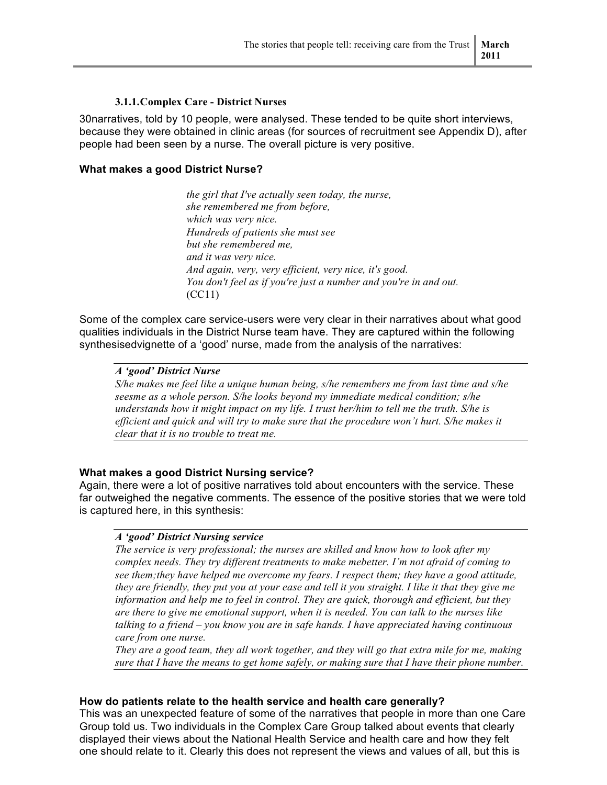#### **3.1.1.Complex Care - District Nurses**

30narratives, told by 10 people, were analysed. These tended to be quite short interviews, because they were obtained in clinic areas (for sources of recruitment see Appendix D), after people had been seen by a nurse. The overall picture is very positive.

#### **What makes a good District Nurse?**

*the girl that I've actually seen today, the nurse, she remembered me from before, which was very nice. Hundreds of patients she must see but she remembered me, and it was very nice. And again, very, very efficient, very nice, it's good. You don't feel as if you're just a number and you're in and out.* (CC11)

Some of the complex care service-users were very clear in their narratives about what good qualities individuals in the District Nurse team have. They are captured within the following synthesisedvignette of a 'good' nurse, made from the analysis of the narratives:

#### *A 'good' District Nurse*

*S/he makes me feel like a unique human being, s/he remembers me from last time and s/he seesme as a whole person. S/he looks beyond my immediate medical condition; s/he understands how it might impact on my life. I trust her/him to tell me the truth. S/he is efficient and quick and will try to make sure that the procedure won't hurt. S/he makes it clear that it is no trouble to treat me.*

#### **What makes a good District Nursing service?**

Again, there were a lot of positive narratives told about encounters with the service. These far outweighed the negative comments. The essence of the positive stories that we were told is captured here, in this synthesis:

#### *A 'good' District Nursing service*

*The service is very professional; the nurses are skilled and know how to look after my complex needs. They try different treatments to make mebetter. I'm not afraid of coming to see them;they have helped me overcome my fears. I respect them; they have a good attitude, they are friendly, they put you at your ease and tell it you straight. I like it that they give me information and help me to feel in control. They are quick, thorough and efficient, but they are there to give me emotional support, when it is needed. You can talk to the nurses like talking to a friend – you know you are in safe hands. I have appreciated having continuous care from one nurse.* 

*They are a good team, they all work together, and they will go that extra mile for me, making sure that I have the means to get home safely, or making sure that I have their phone number.*

#### **How do patients relate to the health service and health care generally?**

This was an unexpected feature of some of the narratives that people in more than one Care Group told us. Two individuals in the Complex Care Group talked about events that clearly displayed their views about the National Health Service and health care and how they felt one should relate to it. Clearly this does not represent the views and values of all, but this is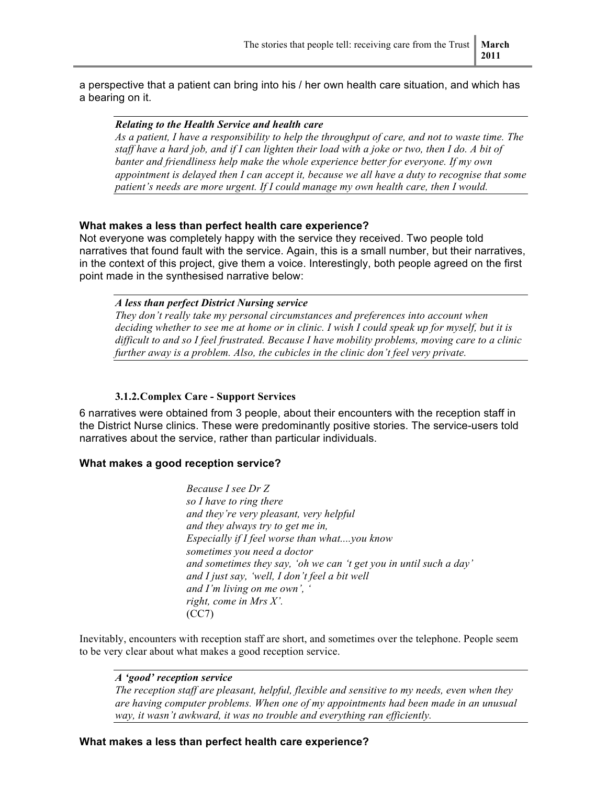a perspective that a patient can bring into his / her own health care situation, and which has a bearing on it.

#### *Relating to the Health Service and health care*

*As a patient, I have a responsibility to help the throughput of care, and not to waste time. The staff have a hard job, and if I can lighten their load with a joke or two, then I do. A bit of banter and friendliness help make the whole experience better for everyone. If my own appointment is delayed then I can accept it, because we all have a duty to recognise that some patient's needs are more urgent. If I could manage my own health care, then I would.*

#### **What makes a less than perfect health care experience?**

Not everyone was completely happy with the service they received. Two people told narratives that found fault with the service. Again, this is a small number, but their narratives, in the context of this project, give them a voice. Interestingly, both people agreed on the first point made in the synthesised narrative below:

#### *A less than perfect District Nursing service*

*They don't really take my personal circumstances and preferences into account when deciding whether to see me at home or in clinic. I wish I could speak up for myself, but it is difficult to and so I feel frustrated. Because I have mobility problems, moving care to a clinic further away is a problem. Also, the cubicles in the clinic don't feel very private.* 

#### **3.1.2.Complex Care - Support Services**

6 narratives were obtained from 3 people, about their encounters with the reception staff in the District Nurse clinics. These were predominantly positive stories. The service-users told narratives about the service, rather than particular individuals.

#### **What makes a good reception service?**

*Because I see Dr Z so I have to ring there and they're very pleasant, very helpful and they always try to get me in, Especially if I feel worse than what....you know sometimes you need a doctor and sometimes they say, 'oh we can 't get you in until such a day' and I just say, 'well, I don't feel a bit well and I'm living on me own', ' right, come in Mrs X'.* (CC7)

Inevitably, encounters with reception staff are short, and sometimes over the telephone. People seem to be very clear about what makes a good reception service.

#### *A 'good' reception service*

*The reception staff are pleasant, helpful, flexible and sensitive to my needs, even when they are having computer problems. When one of my appointments had been made in an unusual way, it wasn't awkward, it was no trouble and everything ran efficiently.*

#### **What makes a less than perfect health care experience?**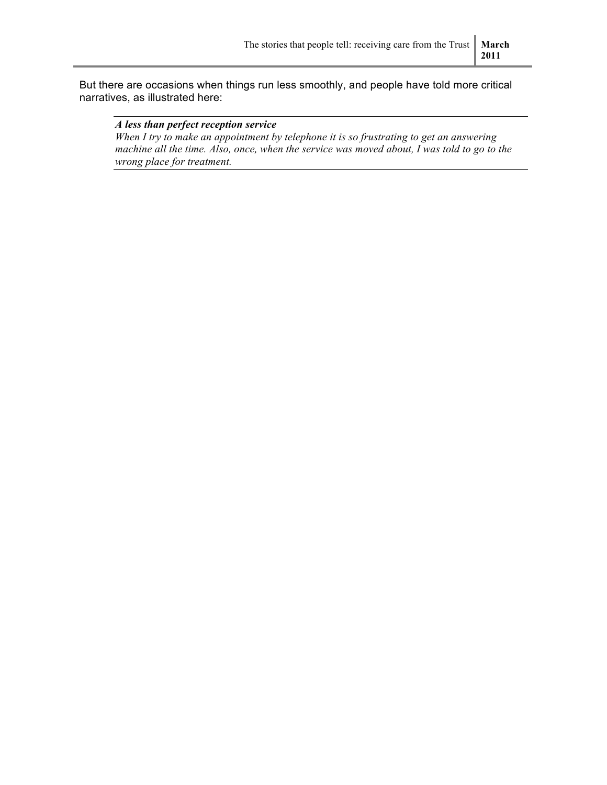But there are occasions when things run less smoothly, and people have told more critical narratives, as illustrated here:

#### *A less than perfect reception service*

*When I try to make an appointment by telephone it is so frustrating to get an answering*  machine all the time. Also, once, when the service was moved about, I was told to go to the *wrong place for treatment.*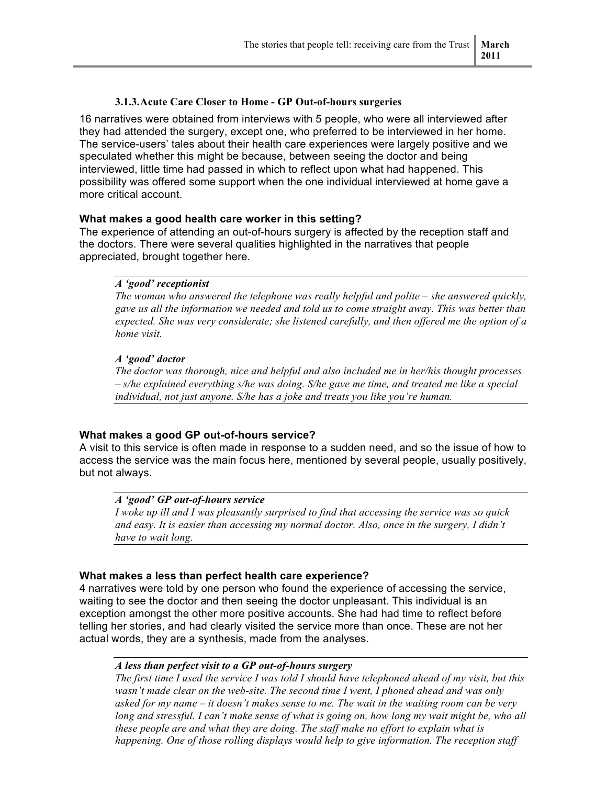#### **3.1.3.Acute Care Closer to Home - GP Out-of-hours surgeries**

16 narratives were obtained from interviews with 5 people, who were all interviewed after they had attended the surgery, except one, who preferred to be interviewed in her home. The service-users' tales about their health care experiences were largely positive and we speculated whether this might be because, between seeing the doctor and being interviewed, little time had passed in which to reflect upon what had happened. This possibility was offered some support when the one individual interviewed at home gave a more critical account.

#### **What makes a good health care worker in this setting?**

The experience of attending an out-of-hours surgery is affected by the reception staff and the doctors. There were several qualities highlighted in the narratives that people appreciated, brought together here.

#### *A 'good' receptionist*

*The woman who answered the telephone was really helpful and polite – she answered quickly, gave us all the information we needed and told us to come straight away. This was better than expected. She was very considerate; she listened carefully, and then offered me the option of a home visit.*

#### *A 'good' doctor*

*The doctor was thorough, nice and helpful and also included me in her/his thought processes – s/he explained everything s/he was doing. S/he gave me time, and treated me like a special individual, not just anyone. S/he has a joke and treats you like you're human.*

#### **What makes a good GP out-of-hours service?**

A visit to this service is often made in response to a sudden need, and so the issue of how to access the service was the main focus here, mentioned by several people, usually positively, but not always.

#### *A 'good' GP out-of-hours service*

*I woke up ill and I was pleasantly surprised to find that accessing the service was so quick and easy. It is easier than accessing my normal doctor. Also, once in the surgery, I didn't have to wait long.*

#### **What makes a less than perfect health care experience?**

4 narratives were told by one person who found the experience of accessing the service, waiting to see the doctor and then seeing the doctor unpleasant. This individual is an exception amongst the other more positive accounts. She had had time to reflect before telling her stories, and had clearly visited the service more than once. These are not her actual words, they are a synthesis, made from the analyses.

#### *A less than perfect visit to a GP out-of-hours surgery*

*The first time I used the service I was told I should have telephoned ahead of my visit, but this wasn't made clear on the web-site. The second time I went, I phoned ahead and was only asked for my name – it doesn't makes sense to me. The wait in the waiting room can be very long and stressful. I can't make sense of what is going on, how long my wait might be, who all these people are and what they are doing. The staff make no effort to explain what is happening. One of those rolling displays would help to give information. The reception staff*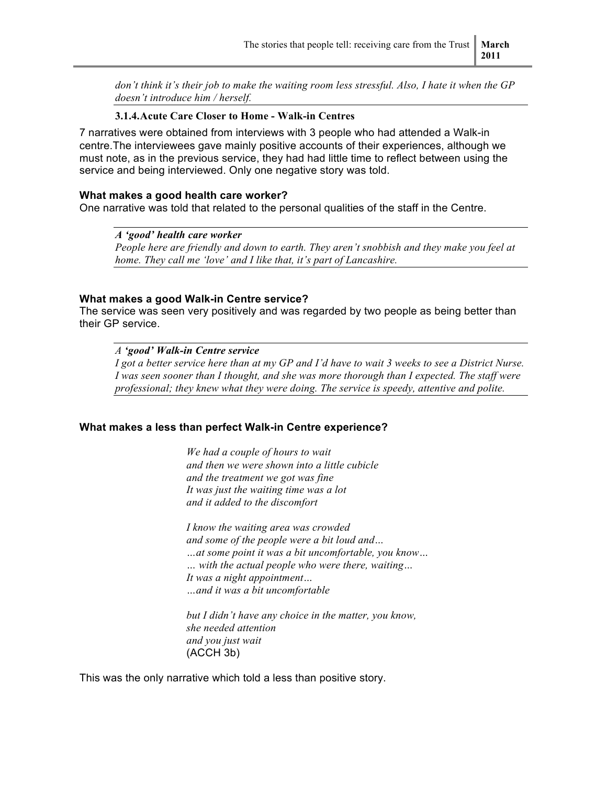*don't think it's their job to make the waiting room less stressful. Also, I hate it when the GP doesn't introduce him / herself.*

#### **3.1.4.Acute Care Closer to Home - Walk-in Centres**

7 narratives were obtained from interviews with 3 people who had attended a Walk-in centre.The interviewees gave mainly positive accounts of their experiences, although we must note, as in the previous service, they had had little time to reflect between using the service and being interviewed. Only one negative story was told.

#### **What makes a good health care worker?**

One narrative was told that related to the personal qualities of the staff in the Centre.

*A 'good' health care worker People here are friendly and down to earth. They aren't snobbish and they make you feel at home. They call me 'love' and I like that, it's part of Lancashire.*

#### **What makes a good Walk-in Centre service?**

The service was seen very positively and was regarded by two people as being better than their GP service.

*A 'good' Walk-in Centre service*

*I got a better service here than at my GP and I'd have to wait 3 weeks to see a District Nurse. I was seen sooner than I thought, and she was more thorough than I expected. The staff were professional; they knew what they were doing. The service is speedy, attentive and polite.*

#### **What makes a less than perfect Walk-in Centre experience?**

*We had a couple of hours to wait and then we were shown into a little cubicle and the treatment we got was fine It was just the waiting time was a lot and it added to the discomfort*

*I know the waiting area was crowded and some of the people were a bit loud and… …at some point it was a bit uncomfortable, you know… … with the actual people who were there, waiting… It was a night appointment… …and it was a bit uncomfortable*

*but I didn't have any choice in the matter, you know, she needed attention and you just wait* (ACCH 3b)

This was the only narrative which told a less than positive story.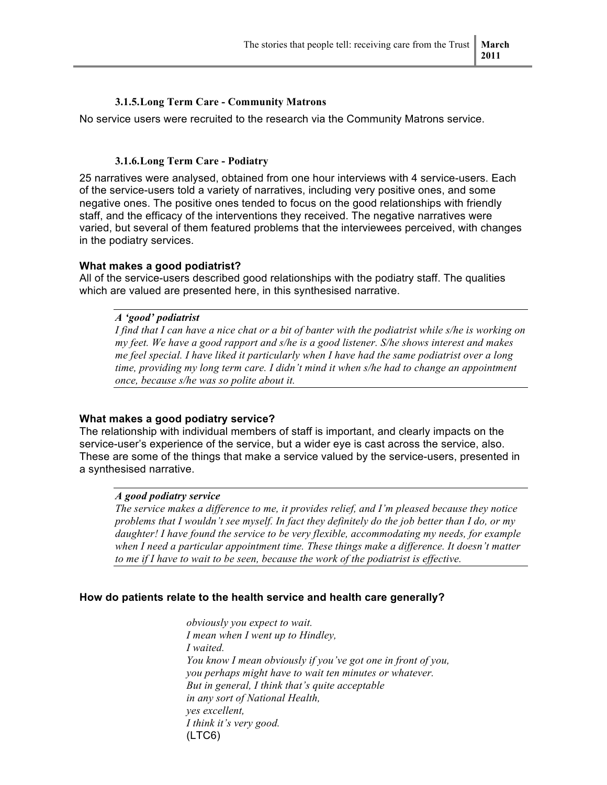#### **3.1.5.Long Term Care - Community Matrons**

No service users were recruited to the research via the Community Matrons service.

#### **3.1.6.Long Term Care - Podiatry**

25 narratives were analysed, obtained from one hour interviews with 4 service-users. Each of the service-users told a variety of narratives, including very positive ones, and some negative ones. The positive ones tended to focus on the good relationships with friendly staff, and the efficacy of the interventions they received. The negative narratives were varied, but several of them featured problems that the interviewees perceived, with changes in the podiatry services.

#### **What makes a good podiatrist?**

All of the service-users described good relationships with the podiatry staff. The qualities which are valued are presented here, in this synthesised narrative.

#### *A 'good' podiatrist*

*I find that I can have a nice chat or a bit of banter with the podiatrist while s/he is working on my feet. We have a good rapport and s/he is a good listener. S/he shows interest and makes me feel special. I have liked it particularly when I have had the same podiatrist over a long time, providing my long term care. I didn't mind it when s/he had to change an appointment once, because s/he was so polite about it.* 

#### **What makes a good podiatry service?**

The relationship with individual members of staff is important, and clearly impacts on the service-user's experience of the service, but a wider eye is cast across the service, also. These are some of the things that make a service valued by the service-users, presented in a synthesised narrative.

#### *A good podiatry service*

*The service makes a difference to me, it provides relief, and I'm pleased because they notice problems that I wouldn't see myself. In fact they definitely do the job better than I do, or my daughter! I have found the service to be very flexible, accommodating my needs, for example when I need a particular appointment time. These things make a difference. It doesn't matter to me if I have to wait to be seen, because the work of the podiatrist is effective.* 

#### **How do patients relate to the health service and health care generally?**

*obviously you expect to wait. I mean when I went up to Hindley, I waited. You know I mean obviously if you've got one in front of you, you perhaps might have to wait ten minutes or whatever. But in general, I think that's quite acceptable in any sort of National Health, yes excellent, I think it's very good.*  (LTC6)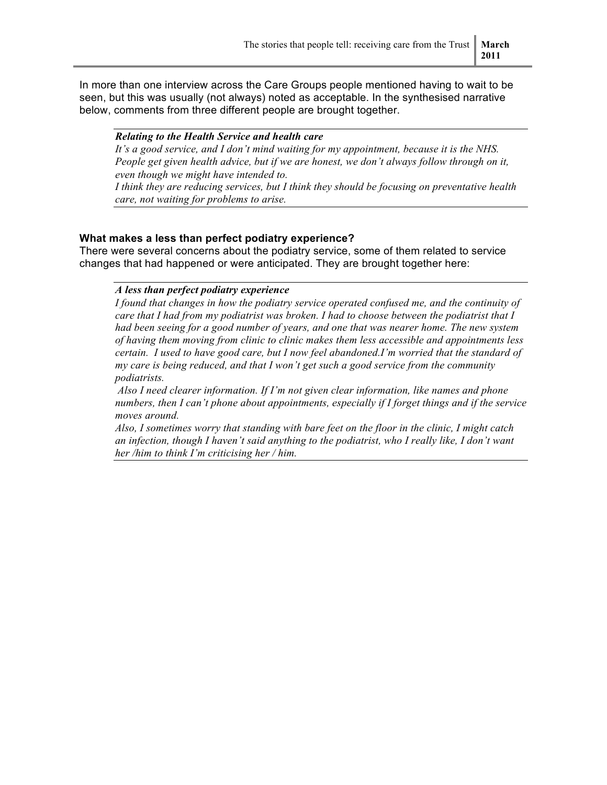In more than one interview across the Care Groups people mentioned having to wait to be seen, but this was usually (not always) noted as acceptable. In the synthesised narrative below, comments from three different people are brought together.

#### *Relating to the Health Service and health care*

*It's a good service, and I don't mind waiting for my appointment, because it is the NHS. People get given health advice, but if we are honest, we don't always follow through on it, even though we might have intended to.*

*I think they are reducing services, but I think they should be focusing on preventative health care, not waiting for problems to arise.*

#### **What makes a less than perfect podiatry experience?**

There were several concerns about the podiatry service, some of them related to service changes that had happened or were anticipated. They are brought together here:

#### *A less than perfect podiatry experience*

*I found that changes in how the podiatry service operated confused me, and the continuity of care that I had from my podiatrist was broken. I had to choose between the podiatrist that I had been seeing for a good number of years, and one that was nearer home. The new system of having them moving from clinic to clinic makes them less accessible and appointments less certain. I used to have good care, but I now feel abandoned.I'm worried that the standard of my care is being reduced, and that I won't get such a good service from the community podiatrists.*

 *Also I need clearer information. If I'm not given clear information, like names and phone numbers, then I can't phone about appointments, especially if I forget things and if the service moves around.* 

*Also, I sometimes worry that standing with bare feet on the floor in the clinic, I might catch an infection, though I haven't said anything to the podiatrist, who I really like, I don't want her /him to think I'm criticising her / him.*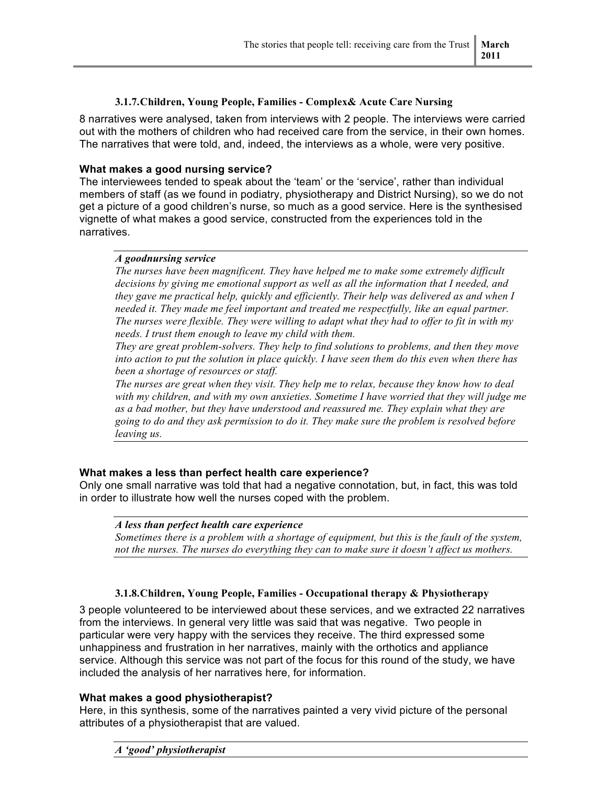#### **3.1.7.Children, Young People, Families - Complex& Acute Care Nursing**

8 narratives were analysed, taken from interviews with 2 people. The interviews were carried out with the mothers of children who had received care from the service, in their own homes. The narratives that were told, and, indeed, the interviews as a whole, were very positive.

#### **What makes a good nursing service?**

The interviewees tended to speak about the 'team' or the 'service', rather than individual members of staff (as we found in podiatry, physiotherapy and District Nursing), so we do not get a picture of a good children's nurse, so much as a good service. Here is the synthesised vignette of what makes a good service, constructed from the experiences told in the narratives.

#### *A goodnursing service*

*The nurses have been magnificent. They have helped me to make some extremely difficult decisions by giving me emotional support as well as all the information that I needed, and they gave me practical help, quickly and efficiently. Their help was delivered as and when I needed it. They made me feel important and treated me respectfully, like an equal partner. The nurses were flexible. They were willing to adapt what they had to offer to fit in with my needs. I trust them enough to leave my child with them.* 

*They are great problem-solvers. They help to find solutions to problems, and then they move into action to put the solution in place quickly. I have seen them do this even when there has been a shortage of resources or staff.*

*The nurses are great when they visit. They help me to relax, because they know how to deal with my children, and with my own anxieties. Sometime I have worried that they will judge me as a bad mother, but they have understood and reassured me. They explain what they are going to do and they ask permission to do it. They make sure the problem is resolved before leaving us.*

#### **What makes a less than perfect health care experience?**

Only one small narrative was told that had a negative connotation, but, in fact, this was told in order to illustrate how well the nurses coped with the problem.

#### *A less than perfect health care experience*

*Sometimes there is a problem with a shortage of equipment, but this is the fault of the system, not the nurses. The nurses do everything they can to make sure it doesn't affect us mothers.*

#### **3.1.8.Children, Young People, Families - Occupational therapy & Physiotherapy**

3 people volunteered to be interviewed about these services, and we extracted 22 narratives from the interviews. In general very little was said that was negative. Two people in particular were very happy with the services they receive. The third expressed some unhappiness and frustration in her narratives, mainly with the orthotics and appliance service. Although this service was not part of the focus for this round of the study, we have included the analysis of her narratives here, for information.

#### **What makes a good physiotherapist?**

Here, in this synthesis, some of the narratives painted a very vivid picture of the personal attributes of a physiotherapist that are valued.

#### *A 'good' physiotherapist*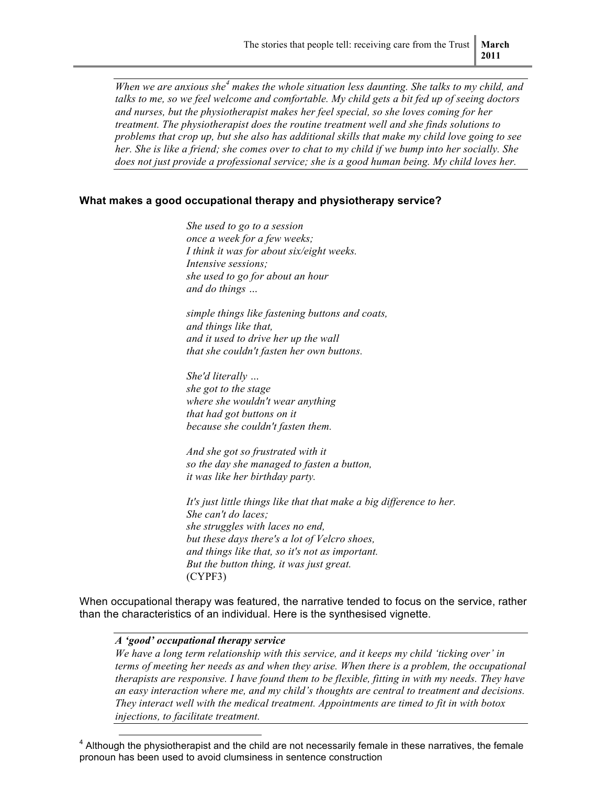*When we are anxious she<sup>4</sup> makes the whole situation less daunting. She talks to my child, and talks to me, so we feel welcome and comfortable. My child gets a bit fed up of seeing doctors and nurses, but the physiotherapist makes her feel special, so she loves coming for her treatment. The physiotherapist does the routine treatment well and she finds solutions to problems that crop up, but she also has additional skills that make my child love going to see her. She is like a friend; she comes over to chat to my child if we bump into her socially. She does not just provide a professional service; she is a good human being. My child loves her.*

#### **What makes a good occupational therapy and physiotherapy service?**

*She used to go to a session once a week for a few weeks; I think it was for about six/eight weeks. Intensive sessions; she used to go for about an hour and do things …* 

*simple things like fastening buttons and coats, and things like that, and it used to drive her up the wall that she couldn't fasten her own buttons.* 

*She'd literally … she got to the stage where she wouldn't wear anything that had got buttons on it because she couldn't fasten them.* 

*And she got so frustrated with it so the day she managed to fasten a button, it was like her birthday party.*

*It's just little things like that that make a big difference to her. She can't do laces; she struggles with laces no end, but these days there's a lot of Velcro shoes, and things like that, so it's not as important. But the button thing, it was just great.* (CYPF3)

When occupational therapy was featured, the narrative tended to focus on the service, rather than the characteristics of an individual. Here is the synthesised vignette.

#### *A 'good' occupational therapy service*

*We have a long term relationship with this service, and it keeps my child 'ticking over' in terms of meeting her needs as and when they arise. When there is a problem, the occupational therapists are responsive. I have found them to be flexible, fitting in with my needs. They have an easy interaction where me, and my child's thoughts are central to treatment and decisions. They interact well with the medical treatment. Appointments are timed to fit in with botox injections, to facilitate treatment.*

 $4$  Although the physiotherapist and the child are not necessarily female in these narratives, the female pronoun has been used to avoid clumsiness in sentence construction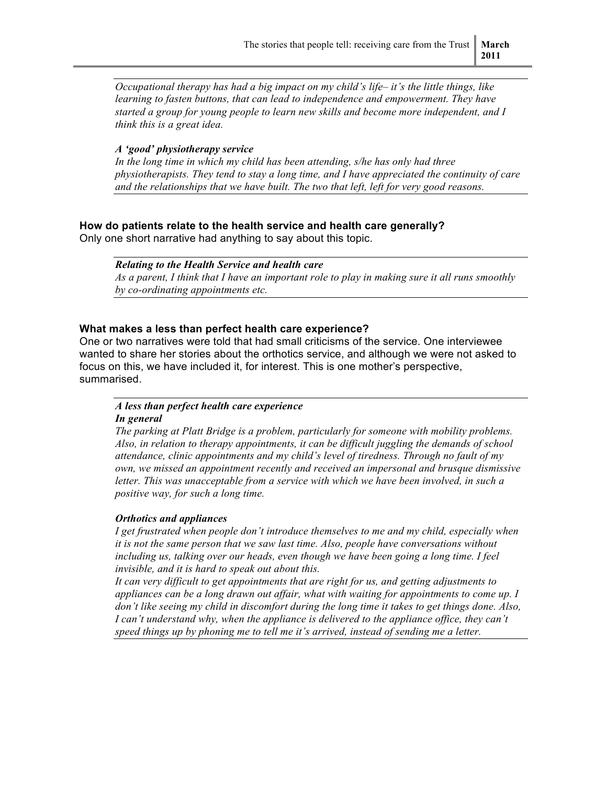*Occupational therapy has had a big impact on my child's life– it's the little things, like learning to fasten buttons, that can lead to independence and empowerment. They have started a group for young people to learn new skills and become more independent, and I think this is a great idea.* 

#### *A 'good' physiotherapy service*

*In the long time in which my child has been attending, s/he has only had three physiotherapists. They tend to stay a long time, and I have appreciated the continuity of care and the relationships that we have built. The two that left, left for very good reasons.*

#### **How do patients relate to the health service and health care generally?**

Only one short narrative had anything to say about this topic.

#### *Relating to the Health Service and health care*

*As a parent, I think that I have an important role to play in making sure it all runs smoothly by co-ordinating appointments etc.*

#### **What makes a less than perfect health care experience?**

One or two narratives were told that had small criticisms of the service. One interviewee wanted to share her stories about the orthotics service, and although we were not asked to focus on this, we have included it, for interest. This is one mother's perspective, summarised.

#### *A less than perfect health care experience*

#### *In general*

*The parking at Platt Bridge is a problem, particularly for someone with mobility problems. Also, in relation to therapy appointments, it can be difficult juggling the demands of school attendance, clinic appointments and my child's level of tiredness. Through no fault of my own, we missed an appointment recently and received an impersonal and brusque dismissive*  letter. This was unacceptable from a service with which we have been involved, in such a *positive way, for such a long time.*

#### *Orthotics and appliances*

*I get frustrated when people don't introduce themselves to me and my child, especially when it is not the same person that we saw last time. Also, people have conversations without including us, talking over our heads, even though we have been going a long time. I feel invisible, and it is hard to speak out about this.* 

*It can very difficult to get appointments that are right for us, and getting adjustments to appliances can be a long drawn out affair, what with waiting for appointments to come up. I don't like seeing my child in discomfort during the long time it takes to get things done. Also, I can't understand why, when the appliance is delivered to the appliance office, they can't speed things up by phoning me to tell me it's arrived, instead of sending me a letter.*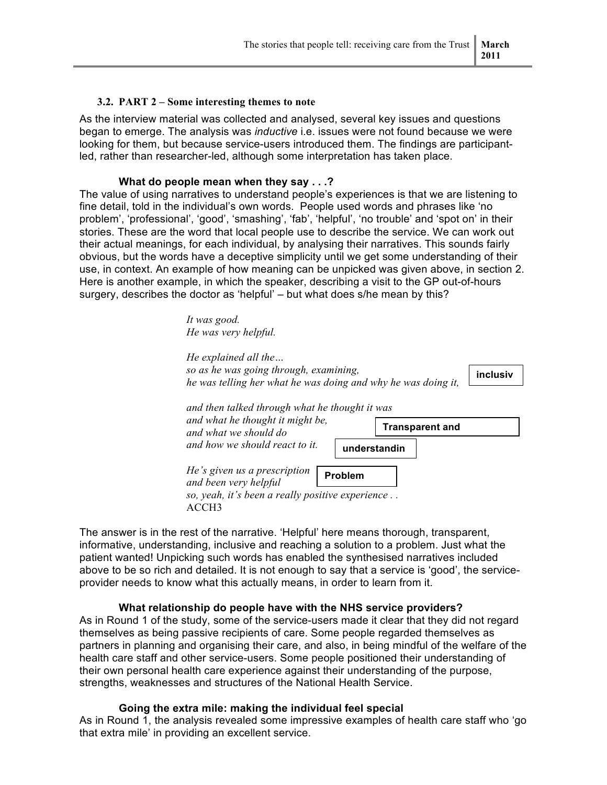#### **3.2. PART 2 – Some interesting themes to note**

As the interview material was collected and analysed, several key issues and questions began to emerge. The analysis was *inductive* i.e. issues were not found because we were looking for them, but because service-users introduced them. The findings are participantled, rather than researcher-led, although some interpretation has taken place.

#### **What do people mean when they say . . .?**

The value of using narratives to understand people's experiences is that we are listening to fine detail, told in the individual's own words. People used words and phrases like 'no problem', 'professional', 'good', 'smashing', 'fab', 'helpful', 'no trouble' and 'spot on' in their stories. These are the word that local people use to describe the service. We can work out their actual meanings, for each individual, by analysing their narratives. This sounds fairly obvious, but the words have a deceptive simplicity until we get some understanding of their use, in context. An example of how meaning can be unpicked was given above, in section 2. Here is another example, in which the speaker, describing a visit to the GP out-of-hours surgery, describes the doctor as 'helpful' – but what does s/he mean by this?

> *It was good. He was very helpful.*

| He explained all the                                                                                        |                        |
|-------------------------------------------------------------------------------------------------------------|------------------------|
| so as he was going through, examining,                                                                      | inclusiv               |
| he was telling her what he was doing and why he was doing it,                                               |                        |
| and then talked through what he thought it was<br>and what he thought it might be,<br>and what we should do | <b>Transparent and</b> |
| and how we should react to it.                                                                              | understandin           |
| He's given us a prescription<br>and been very helpful<br>so, yeah, it's been a really positive experience   | <b>Problem</b>         |
| ACCH3                                                                                                       |                        |

The answer is in the rest of the narrative. 'Helpful' here means thorough, transparent, informative, understanding, inclusive and reaching a solution to a problem. Just what the patient wanted! Unpicking such words has enabled the synthesised narratives included above to be so rich and detailed. It is not enough to say that a service is 'good', the serviceprovider needs to know what this actually means, in order to learn from it.

#### **What relationship do people have with the NHS service providers?**

As in Round 1 of the study, some of the service-users made it clear that they did not regard themselves as being passive recipients of care. Some people regarded themselves as partners in planning and organising their care, and also, in being mindful of the welfare of the health care staff and other service-users. Some people positioned their understanding of their own personal health care experience against their understanding of the purpose, strengths, weaknesses and structures of the National Health Service.

#### **Going the extra mile: making the individual feel special**

As in Round 1, the analysis revealed some impressive examples of health care staff who 'go that extra mile' in providing an excellent service.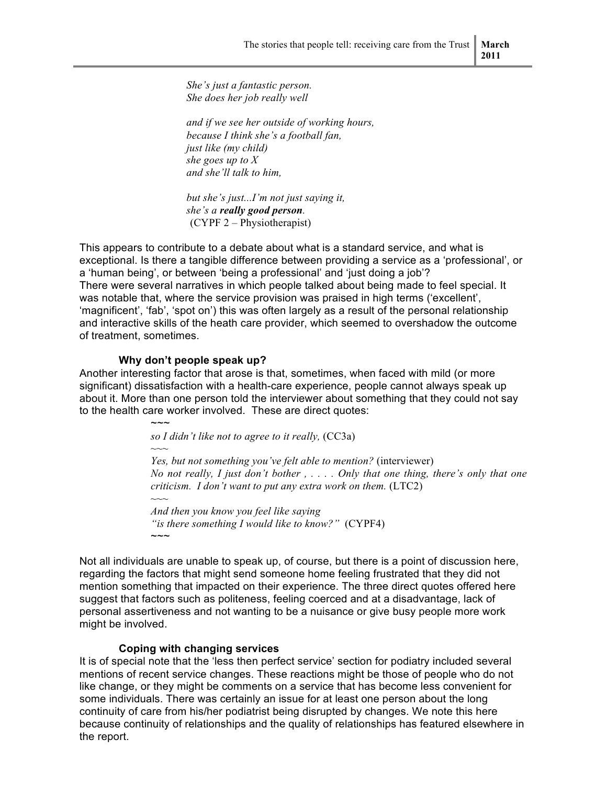*She's just a fantastic person. She does her job really well*

*and if we see her outside of working hours, because I think she's a football fan, just like (my child) she goes up to X and she'll talk to him,* 

*but she's just...I'm not just saying it, she's a really good person.* (CYPF 2 – Physiotherapist)

This appears to contribute to a debate about what is a standard service, and what is exceptional. Is there a tangible difference between providing a service as a 'professional', or a 'human being', or between 'being a professional' and 'just doing a job'? There were several narratives in which people talked about being made to feel special. It was notable that, where the service provision was praised in high terms ('excellent', 'magnificent', 'fab', 'spot on') this was often largely as a result of the personal relationship and interactive skills of the heath care provider, which seemed to overshadow the outcome of treatment, sometimes.

#### **Why don't people speak up?**

 $\sim$  $\sim$ 

*~~~*

Another interesting factor that arose is that, sometimes, when faced with mild (or more significant) dissatisfaction with a health-care experience, people cannot always speak up about it. More than one person told the interviewer about something that they could not say to the health care worker involved. These are direct quotes:

*so I didn't like not to agree to it really,* (CC3a)

*Yes, but not something you've felt able to mention?* (interviewer) *No not really, I just don't bother , . . . . Only that one thing, there's only that one criticism. I don't want to put any extra work on them.* (LTC2)

*~~~ And then you know you feel like saying "is there something I would like to know?"* (CYPF4)  $\sim\sim\sim$ 

Not all individuals are unable to speak up, of course, but there is a point of discussion here, regarding the factors that might send someone home feeling frustrated that they did not mention something that impacted on their experience. The three direct quotes offered here suggest that factors such as politeness, feeling coerced and at a disadvantage, lack of personal assertiveness and not wanting to be a nuisance or give busy people more work might be involved.

#### **Coping with changing services**

It is of special note that the 'less then perfect service' section for podiatry included several mentions of recent service changes. These reactions might be those of people who do not like change, or they might be comments on a service that has become less convenient for some individuals. There was certainly an issue for at least one person about the long continuity of care from his/her podiatrist being disrupted by changes. We note this here because continuity of relationships and the quality of relationships has featured elsewhere in the report.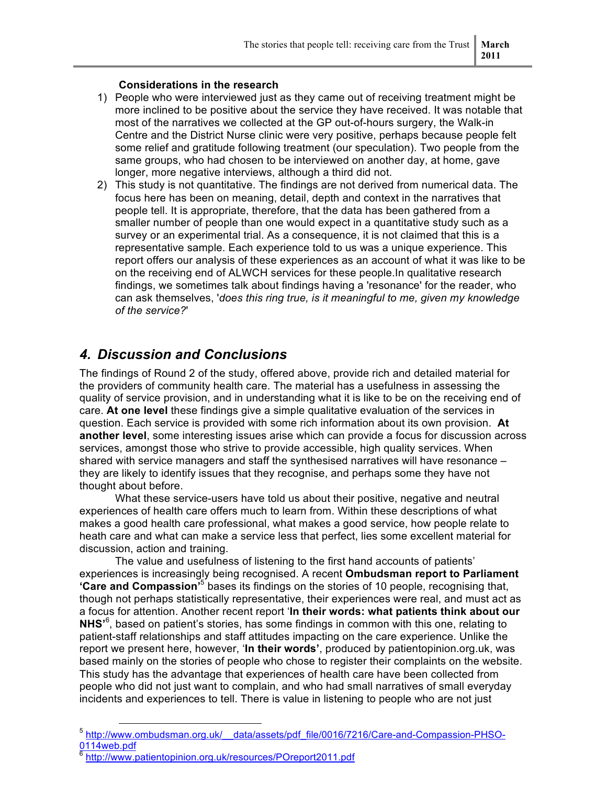#### **Considerations in the research**

- 1) People who were interviewed just as they came out of receiving treatment might be more inclined to be positive about the service they have received. It was notable that most of the narratives we collected at the GP out-of-hours surgery, the Walk-in Centre and the District Nurse clinic were very positive, perhaps because people felt some relief and gratitude following treatment (our speculation). Two people from the same groups, who had chosen to be interviewed on another day, at home, gave longer, more negative interviews, although a third did not.
- 2) This study is not quantitative. The findings are not derived from numerical data. The focus here has been on meaning, detail, depth and context in the narratives that people tell. It is appropriate, therefore, that the data has been gathered from a smaller number of people than one would expect in a quantitative study such as a survey or an experimental trial. As a consequence, it is not claimed that this is a representative sample. Each experience told to us was a unique experience. This report offers our analysis of these experiences as an account of what it was like to be on the receiving end of ALWCH services for these people.In qualitative research findings, we sometimes talk about findings having a 'resonance' for the reader, who can ask themselves, '*does this ring true, is it meaningful to me, given my knowledge of the service?*'

### *4. Discussion and Conclusions*

The findings of Round 2 of the study, offered above, provide rich and detailed material for the providers of community health care. The material has a usefulness in assessing the quality of service provision, and in understanding what it is like to be on the receiving end of care. **At one level** these findings give a simple qualitative evaluation of the services in question. Each service is provided with some rich information about its own provision. **At another level**, some interesting issues arise which can provide a focus for discussion across services, amongst those who strive to provide accessible, high quality services. When shared with service managers and staff the synthesised narratives will have resonance – they are likely to identify issues that they recognise, and perhaps some they have not thought about before.

What these service-users have told us about their positive, negative and neutral experiences of health care offers much to learn from. Within these descriptions of what makes a good health care professional, what makes a good service, how people relate to heath care and what can make a service less that perfect, lies some excellent material for discussion, action and training.

The value and usefulness of listening to the first hand accounts of patients' experiences is increasingly being recognised. A recent **Ombudsman report to Parliament 'Care and Compassion<sup>15</sup>** bases its findings on the stories of 10 people, recognising that, though not perhaps statistically representative, their experiences were real, and must act as a focus for attention. Another recent report '**In their words: what patients think about our** NHS<sup>®</sup>, based on patient's stories, has some findings in common with this one, relating to patient-staff relationships and staff attitudes impacting on the care experience. Unlike the report we present here, however, '**In their words'**, produced by patientopinion.org.uk, was based mainly on the stories of people who chose to register their complaints on the website. This study has the advantage that experiences of health care have been collected from people who did not just want to complain, and who had small narratives of small everyday incidents and experiences to tell. There is value in listening to people who are not just

<sup>5</sup> http://www.ombudsman.org.uk/ data/assets/pdf file/0016/7216/Care-and-Compassion-PHSO-0114web.pdf

<sup>6</sup> http://www.patientopinion.org.uk/resources/POreport2011.pdf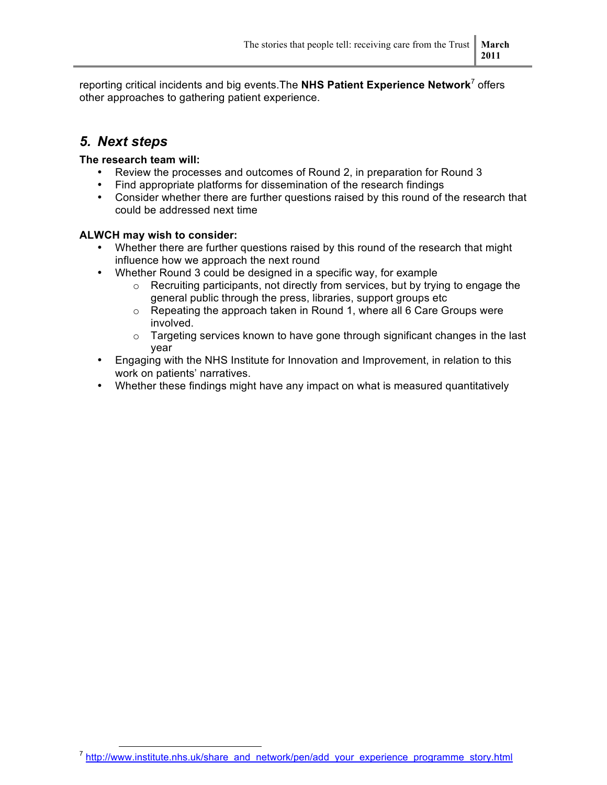reporting critical incidents and big events.The **NHS Patient Experience Network**<sup>7</sup> offers other approaches to gathering patient experience.

### *5. Next steps*

#### **The research team will:**

- Review the processes and outcomes of Round 2, in preparation for Round 3
- Find appropriate platforms for dissemination of the research findings
- Consider whether there are further questions raised by this round of the research that could be addressed next time

#### **ALWCH may wish to consider:**

- Whether there are further questions raised by this round of the research that might influence how we approach the next round
- Whether Round 3 could be designed in a specific way, for example
	- $\circ$  Recruiting participants, not directly from services, but by trying to engage the general public through the press, libraries, support groups etc
	- $\circ$  Repeating the approach taken in Round 1, where all 6 Care Groups were involved.
	- $\circ$  Targeting services known to have gone through significant changes in the last year
- Engaging with the NHS Institute for Innovation and Improvement, in relation to this work on patients' narratives.
- Whether these findings might have any impact on what is measured quantitatively

<sup>&</sup>lt;sup>7</sup> http://www.institute.nhs.uk/share\_and\_network/pen/add\_your\_experience\_programme\_story.html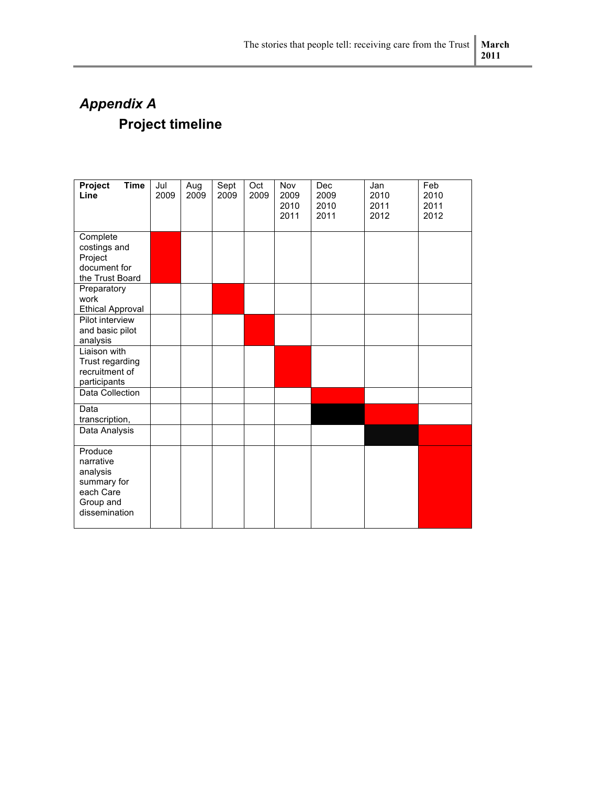## *Appendix A* **Project timeline**

| Project<br><b>Time</b><br>Line                                                             | Jul<br>2009 | Aug<br>2009 | Sept<br>2009 | Oct<br>2009 | Nov<br>2009<br>2010<br>2011 | Dec<br>2009<br>2010<br>2011 | Jan<br>2010<br>2011<br>2012 | Feb<br>2010<br>2011<br>2012 |
|--------------------------------------------------------------------------------------------|-------------|-------------|--------------|-------------|-----------------------------|-----------------------------|-----------------------------|-----------------------------|
| Complete<br>costings and<br>Project<br>document for<br>the Trust Board                     |             |             |              |             |                             |                             |                             |                             |
| Preparatory<br>work<br><b>Ethical Approval</b>                                             |             |             |              |             |                             |                             |                             |                             |
| Pilot interview<br>and basic pilot<br>analysis                                             |             |             |              |             |                             |                             |                             |                             |
| Liaison with<br>Trust regarding<br>recruitment of<br>participants                          |             |             |              |             |                             |                             |                             |                             |
| Data Collection                                                                            |             |             |              |             |                             |                             |                             |                             |
| Data<br>transcription,                                                                     |             |             |              |             |                             |                             |                             |                             |
| Data Analysis                                                                              |             |             |              |             |                             |                             |                             |                             |
| Produce<br>narrative<br>analysis<br>summary for<br>each Care<br>Group and<br>dissemination |             |             |              |             |                             |                             |                             |                             |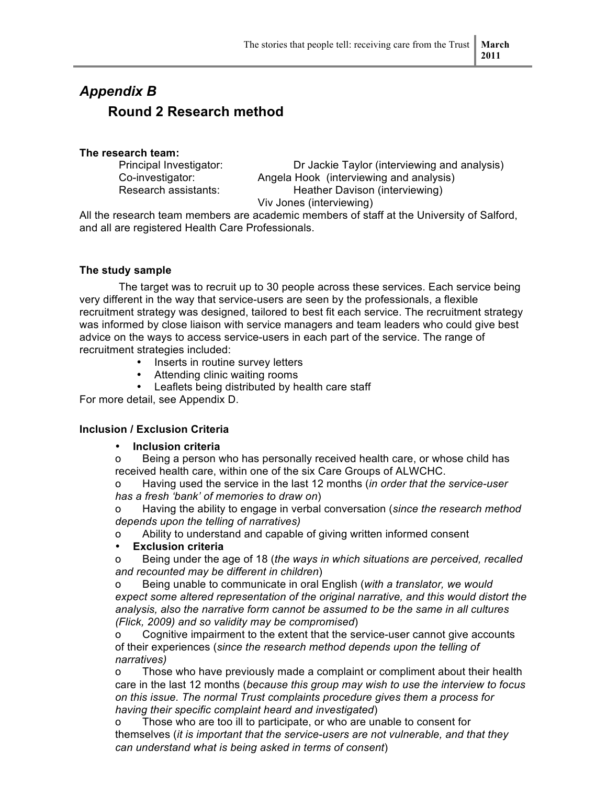## *Appendix B* **Round 2 Research method**

#### **The research team:**

Principal Investigator: Dr Jackie Taylor (interviewing and analysis) Co-investigator: Angela Hook (interviewing and analysis) Research assistants: Heather Davison (interviewing) Viv Jones (interviewing)

All the research team members are academic members of staff at the University of Salford, and all are registered Health Care Professionals.

#### **The study sample**

The target was to recruit up to 30 people across these services. Each service being very different in the way that service-users are seen by the professionals, a flexible recruitment strategy was designed, tailored to best fit each service. The recruitment strategy was informed by close liaison with service managers and team leaders who could give best advice on the ways to access service-users in each part of the service. The range of recruitment strategies included:

- Inserts in routine survey letters
- Attending clinic waiting rooms
- Leaflets being distributed by health care staff

For more detail, see Appendix D.

#### **Inclusion / Exclusion Criteria**

#### • **Inclusion criteria**

o Being a person who has personally received health care, or whose child has received health care, within one of the six Care Groups of ALWCHC.

o Having used the service in the last 12 months (*in order that the service-user has a fresh 'bank' of memories to draw on*)

o Having the ability to engage in verbal conversation (*since the research method depends upon the telling of narratives)*

o Ability to understand and capable of giving written informed consent

#### • **Exclusion criteria**

o Being under the age of 18 (*the ways in which situations are perceived, recalled and recounted may be different in children*)

o Being unable to communicate in oral English (*with a translator, we would expect some altered representation of the original narrative, and this would distort the analysis, also the narrative form cannot be assumed to be the same in all cultures (Flick, 2009) and so validity may be compromised*)

o Cognitive impairment to the extent that the service-user cannot give accounts of their experiences (*since the research method depends upon the telling of narratives)*

o Those who have previously made a complaint or compliment about their health care in the last 12 months (*because this group may wish to use the interview to focus on this issue. The normal Trust complaints procedure gives them a process for having their specific complaint heard and investigated*)

o Those who are too ill to participate, or who are unable to consent for themselves (*it is important that the service-users are not vulnerable, and that they can understand what is being asked in terms of consent*)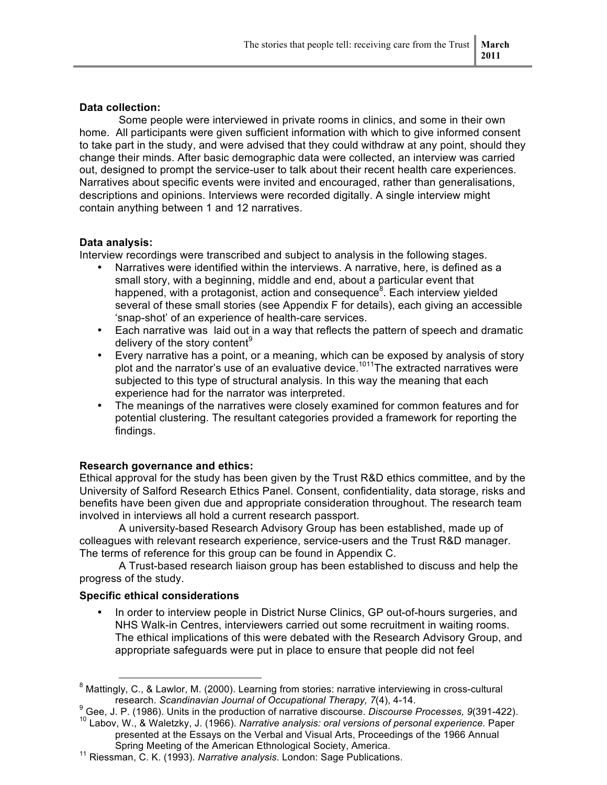#### **Data collection:**

Some people were interviewed in private rooms in clinics, and some in their own home. All participants were given sufficient information with which to give informed consent to take part in the study, and were advised that they could withdraw at any point, should they change their minds. After basic demographic data were collected, an interview was carried out, designed to prompt the service-user to talk about their recent health care experiences. Narratives about specific events were invited and encouraged, rather than generalisations, descriptions and opinions. Interviews were recorded digitally. A single interview might contain anything between 1 and 12 narratives.

#### **Data analysis:**

Interview recordings were transcribed and subject to analysis in the following stages.

- Narratives were identified within the interviews. A narrative, here, is defined as a small story, with a beginning, middle and end, about a particular event that happened, with a protagonist, action and consequence<sup>8</sup>. Each interview yielded several of these small stories (see Appendix F for details), each giving an accessible 'snap-shot' of an experience of health-care services.
- Each narrative was laid out in a way that reflects the pattern of speech and dramatic delivery of the story content<sup>9</sup>
- Every narrative has a point, or a meaning, which can be exposed by analysis of story plot and the narrator's use of an evaluative device.<sup>1011</sup>The extracted narratives were subjected to this type of structural analysis. In this way the meaning that each experience had for the narrator was interpreted.
- The meanings of the narratives were closely examined for common features and for potential clustering. The resultant categories provided a framework for reporting the findings.

#### **Research governance and ethics:**

Ethical approval for the study has been given by the Trust R&D ethics committee, and by the University of Salford Research Ethics Panel. Consent, confidentiality, data storage, risks and benefits have been given due and appropriate consideration throughout. The research team involved in interviews all hold a current research passport.

A university-based Research Advisory Group has been established, made up of colleagues with relevant research experience, service-users and the Trust R&D manager. The terms of reference for this group can be found in Appendix C.

A Trust-based research liaison group has been established to discuss and help the progress of the study.

#### **Specific ethical considerations**

• In order to interview people in District Nurse Clinics, GP out-of-hours surgeries, and NHS Walk-in Centres, interviewers carried out some recruitment in waiting rooms. The ethical implications of this were debated with the Research Advisory Group, and appropriate safeguards were put in place to ensure that people did not feel

<sup>9</sup> Gee, J. P. (1986). Units in the production of narrative discourse. Discourse Processes, 9(391-422).

<sup>10</sup> Labov, W., & Waletzky, J. (1966). Narrative analysis: oral versions of personal experience. Paper presented at the Essays on the Verbal and Visual Arts, Proceedings of the 1966 Annual

<sup>&</sup>lt;sup>8</sup> Mattingly, C., & Lawlor, M. (2000). Learning from stories: narrative interviewing in cross-cultural research. *Scandinavian Journal of Occupational Therapy, 7*(4), 4-14.

Spring Meeting of the American Ethnological Society, America. 11 Riessman, C. K. (1993). *Narrative analysis*. London: Sage Publications.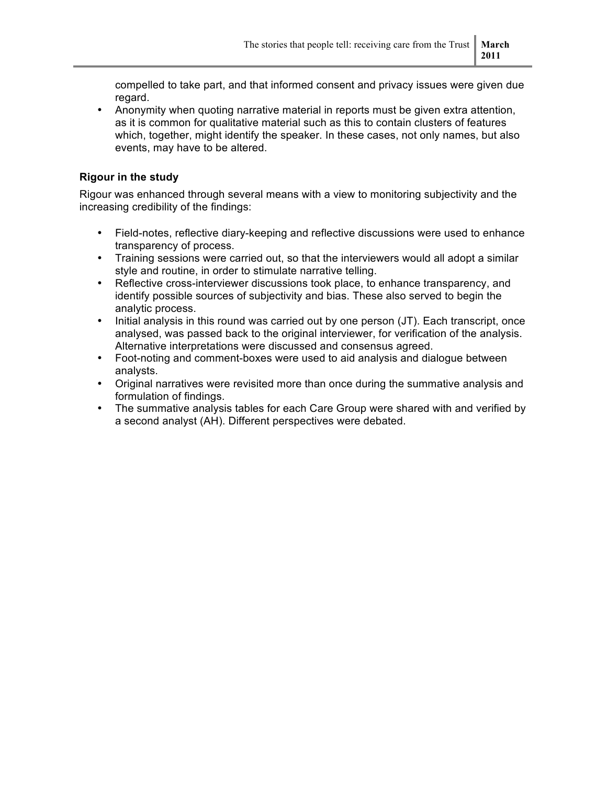compelled to take part, and that informed consent and privacy issues were given due regard.

• Anonymity when quoting narrative material in reports must be given extra attention, as it is common for qualitative material such as this to contain clusters of features which, together, might identify the speaker. In these cases, not only names, but also events, may have to be altered.

#### **Rigour in the study**

Rigour was enhanced through several means with a view to monitoring subjectivity and the increasing credibility of the findings:

- Field-notes, reflective diary-keeping and reflective discussions were used to enhance transparency of process.
- Training sessions were carried out, so that the interviewers would all adopt a similar style and routine, in order to stimulate narrative telling.
- Reflective cross-interviewer discussions took place, to enhance transparency, and identify possible sources of subjectivity and bias. These also served to begin the analytic process.
- Initial analysis in this round was carried out by one person (JT). Each transcript, once analysed, was passed back to the original interviewer, for verification of the analysis. Alternative interpretations were discussed and consensus agreed.
- Foot-noting and comment-boxes were used to aid analysis and dialogue between analysts.
- Original narratives were revisited more than once during the summative analysis and formulation of findings.
- The summative analysis tables for each Care Group were shared with and verified by a second analyst (AH). Different perspectives were debated.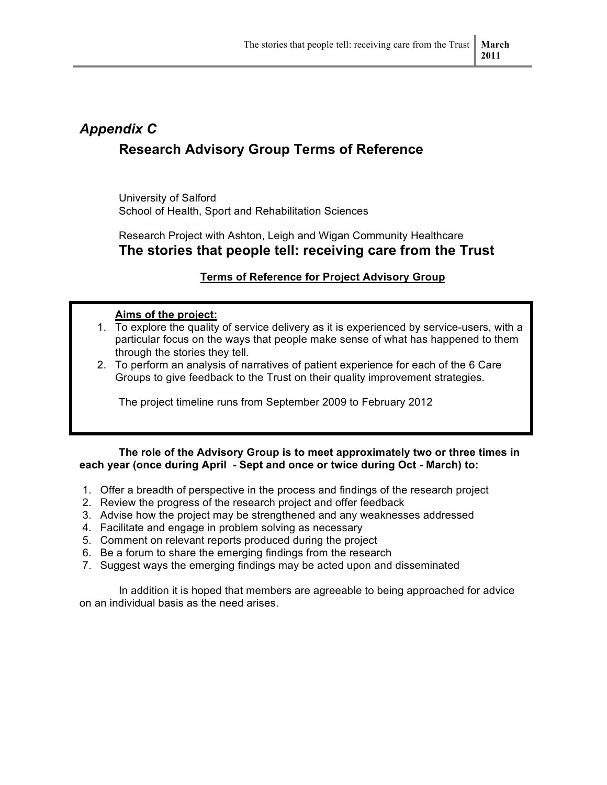## *Appendix C* **Research Advisory Group Terms of Reference**

University of Salford School of Health, Sport and Rehabilitation Sciences

Research Project with Ashton, Leigh and Wigan Community Healthcare **The stories that people tell: receiving care from the Trust**

#### **Terms of Reference for Project Advisory Group**

#### **Aims of the project:**

- 1. To explore the quality of service delivery as it is experienced by service-users, with a particular focus on the ways that people make sense of what has happened to them through the stories they tell.
- 2. To perform an analysis of narratives of patient experience for each of the 6 Care Groups to give feedback to the Trust on their quality improvement strategies.

The project timeline runs from September 2009 to February 2012

#### **The role of the Advisory Group is to meet approximately two or three times in each year (once during April - Sept and once or twice during Oct - March) to:**

- 1. Offer a breadth of perspective in the process and findings of the research project
- 2. Review the progress of the research project and offer feedback
- 3. Advise how the project may be strengthened and any weaknesses addressed
- 4. Facilitate and engage in problem solving as necessary
- 5. Comment on relevant reports produced during the project
- 6. Be a forum to share the emerging findings from the research
- 7. Suggest ways the emerging findings may be acted upon and disseminated

In addition it is hoped that members are agreeable to being approached for advice on an individual basis as the need arises.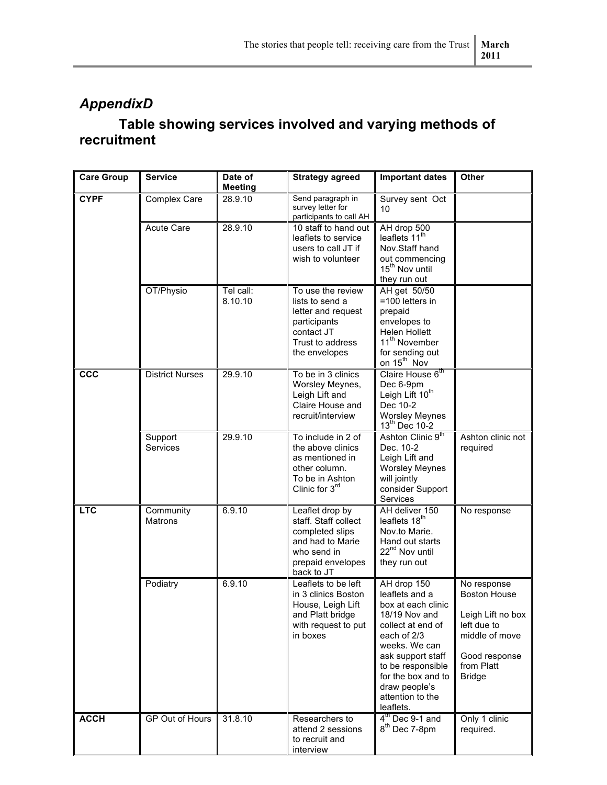## *AppendixD*

## **Table showing services involved and varying methods of recruitment**

| <b>Care Group</b> | <b>Service</b>              | Date of<br><b>Meeting</b> | <b>Strategy agreed</b>                                                                                                           | <b>Important dates</b>                                                                                                                                                                                                                      | Other                                                                                                                                    |
|-------------------|-----------------------------|---------------------------|----------------------------------------------------------------------------------------------------------------------------------|---------------------------------------------------------------------------------------------------------------------------------------------------------------------------------------------------------------------------------------------|------------------------------------------------------------------------------------------------------------------------------------------|
| <b>CYPF</b>       | Complex Care                | 28.9.10                   | Send paragraph in<br>survey letter for<br>participants to call AH                                                                | Survey sent Oct<br>10                                                                                                                                                                                                                       |                                                                                                                                          |
|                   | Acute Care                  | 28.9.10                   | 10 staff to hand out<br>leaflets to service<br>users to call JT if<br>wish to volunteer                                          | AH drop 500<br>leaflets 11 <sup>th</sup><br>Nov.Staff hand<br>out commencing<br>15 <sup>th</sup> Nov until<br>they run out                                                                                                                  |                                                                                                                                          |
|                   | OT/Physio                   | Tel call:<br>8.10.10      | To use the review<br>lists to send a<br>letter and request<br>participants<br>contact JT<br>Trust to address<br>the envelopes    | AH get 50/50<br>$=100$ letters in<br>prepaid<br>envelopes to<br>Helen Hollett<br>11 <sup>th</sup> November<br>for sending out<br>on 15 <sup>th</sup> Nov                                                                                    |                                                                                                                                          |
| <b>CCC</b>        | <b>District Nurses</b>      | 29.9.10                   | To be in 3 clinics<br>Worsley Meynes,<br>Leigh Lift and<br>Claire House and<br>recruit/interview                                 | Claire House 6th<br>Dec 6-9pm<br>Leigh Lift 10 <sup>th</sup><br>Dec 10-2<br><b>Worsley Meynes</b><br>13 <sup>th</sup> Dec 10-2                                                                                                              |                                                                                                                                          |
|                   | Support<br>Services         | 29.9.10                   | To include in 2 of<br>the above clinics<br>as mentioned in<br>other column.<br>To be in Ashton<br>Clinic for 3rd                 | Ashton Clinic 9th<br>Dec. 10-2<br>Leigh Lift and<br><b>Worsley Meynes</b><br>will jointly<br>consider Support<br>Services                                                                                                                   | Ashton clinic not<br>required                                                                                                            |
| <b>LTC</b>        | Community<br><b>Matrons</b> | 6.9.10                    | Leaflet drop by<br>staff. Staff collect<br>completed slips<br>and had to Marie<br>who send in<br>prepaid envelopes<br>back to JT | AH deliver 150<br>leaflets 18 <sup>th</sup><br>Nov.to Marie.<br>Hand out starts<br>22 <sup>nd</sup> Nov until<br>they run out                                                                                                               | No response                                                                                                                              |
|                   | Podiatry                    | 6.9.10                    | Leaflets to be left<br>in 3 clinics Boston<br>House, Leigh Lift<br>and Platt bridge<br>with request to put<br>in boxes           | AH drop 150<br>leaflets and a<br>box at each clinic<br>18/19 Nov and<br>collect at end of<br>each of 2/3<br>weeks. We can<br>ask support staff<br>to be responsible<br>for the box and to<br>draw people's<br>attention to the<br>leaflets. | No response<br><b>Boston House</b><br>Leigh Lift no box<br>left due to<br>middle of move<br>Good response<br>from Platt<br><b>Bridge</b> |
| <b>ACCH</b>       | GP Out of Hours             | 31.8.10                   | Researchers to<br>attend 2 sessions<br>to recruit and<br>interview                                                               | $4th$ Dec 9-1 and<br>8 <sup>th</sup> Dec 7-8pm                                                                                                                                                                                              | Only 1 clinic<br>required.                                                                                                               |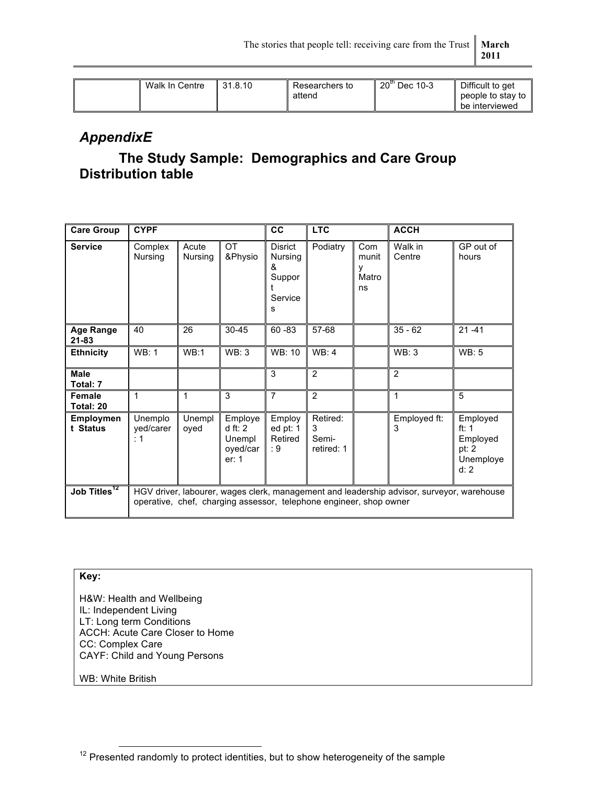| Walk In Centre | 131.8.10 | Researchers to | 20" Dec 10-3 | Difficult to get  |
|----------------|----------|----------------|--------------|-------------------|
|                |          | attend         |              | people to stay to |
|                |          |                |              | be interviewed    |

### *AppendixE*

## **The Study Sample: Demographics and Care Group Distribution table**

| <b>Care Group</b>            | <b>CYPF</b>                                                                                                                                                     |                  |                                                  | cc                                                | <b>LTC</b>                           |                                  | <b>ACCH</b>       |                                                                 |
|------------------------------|-----------------------------------------------------------------------------------------------------------------------------------------------------------------|------------------|--------------------------------------------------|---------------------------------------------------|--------------------------------------|----------------------------------|-------------------|-----------------------------------------------------------------|
| <b>Service</b>               | Complex<br>Nursing                                                                                                                                              | Acute<br>Nursing | <b>OT</b><br>&Physio                             | Disrict<br>Nursing<br>ጼ<br>Suppor<br>Service<br>s | Podiatry                             | Com<br>munit<br>٧<br>Matro<br>ns | Walk in<br>Centre | GP out of<br>hours                                              |
| <b>Age Range</b><br>21-83    | 40                                                                                                                                                              | 26               | $30 - 45$                                        | $60 - 83$                                         | 57-68                                |                                  | $35 - 62$         | $21 - 41$                                                       |
| <b>Ethnicity</b>             | WB:1                                                                                                                                                            | WB:1             | WB:3                                             | WB: 10                                            | WB: 4                                |                                  | WB:3              | WB: 5                                                           |
| <b>Male</b><br>Total: 7      |                                                                                                                                                                 |                  |                                                  | 3                                                 | $\overline{2}$                       |                                  | $\overline{2}$    |                                                                 |
| Female<br>Total: 20          | 1                                                                                                                                                               | 1                | 3                                                | $\overline{7}$                                    | $\overline{2}$                       |                                  | 1                 | 5                                                               |
| <b>Employmen</b><br>t Status | Unemplo<br>yed/carer<br>: 1                                                                                                                                     | Unempl<br>oyed   | Employe<br>dft: 2<br>Unempl<br>oyed/car<br>er: 1 | Employ<br>ed pt: 1<br>Retired<br>: 9              | Retired:<br>3<br>Semi-<br>retired: 1 |                                  | Employed ft:<br>3 | Employed<br>ft: $1$<br>Employed<br>pt: $2$<br>Unemploye<br>d: 2 |
| Job Titles <sup>12</sup>     | HGV driver, labourer, wages clerk, management and leadership advisor, surveyor, warehouse<br>operative, chef, charging assessor, telephone engineer, shop owner |                  |                                                  |                                                   |                                      |                                  |                   |                                                                 |

#### **Key:**

H&W: Health and Wellbeing IL: Independent Living LT: Long term Conditions ACCH: Acute Care Closer to Home CC: Complex Care CAYF: Child and Young Persons

WB: White British

<sup>&</sup>lt;sup>12</sup> Presented randomly to protect identities, but to show heterogeneity of the sample